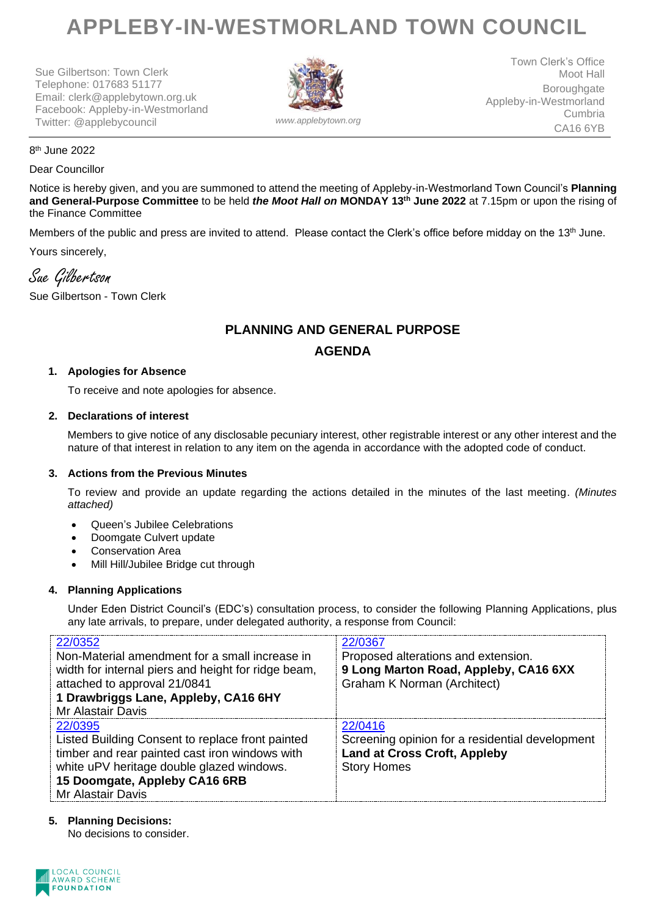# **APPLEBY-IN-WESTMORLAND TOWN COUNCIL**

Sue Gilbertson: Town Clerk Telephone: 017683 51177 Email: clerk@applebytown.org.uk Facebook: Appleby-in-Westmorland Twitter: @applebycouncil *www.applebytown.org*



Town Clerk's Office Moot Hall Boroughgate Appleby-in-Westmorland Cumbria CA16 6YB

#### 8 th June 2022

#### Dear Councillor

Notice is hereby given, and you are summoned to attend the meeting of Appleby-in-Westmorland Town Council's **Planning and General-Purpose Committee** to be held *the Moot Hall on* **MONDAY 13th June 2022** at 7.15pm or upon the rising of the Finance Committee

Members of the public and press are invited to attend. Please contact the Clerk's office before midday on the 13<sup>th</sup> June. Yours sincerely,

Sue Gilbertson

Sue Gilbertson - Town Clerk

## **PLANNING AND GENERAL PURPOSE AGENDA**

#### **1. Apologies for Absence**

To receive and note apologies for absence.

#### **2. Declarations of interest**

Members to give notice of any disclosable pecuniary interest, other registrable interest or any other interest and the nature of that interest in relation to any item on the agenda in accordance with the adopted code of conduct.

#### **3. Actions from the Previous Minutes**

To review and provide an update regarding the actions detailed in the minutes of the last meeting. *(Minutes attached)*

- Queen's Jubilee Celebrations
- Doomgate Culvert update
- Conservation Area
- Mill Hill/Jubilee Bridge cut through

#### **4. Planning Applications**

Under Eden District Council's (EDC's) consultation process, to consider the following Planning Applications, plus any late arrivals, to prepare, under delegated authority, a response from Council:

| 22/0352<br>Non-Material amendment for a small increase in<br>width for internal piers and height for ridge beam,<br>attached to approval 21/0841<br>1 Drawbriggs Lane, Appleby, CA16 6HY<br><b>Mr Alastair Davis</b>    | 22/0367<br>Proposed alterations and extension.<br>9 Long Marton Road, Appleby, CA16 6XX<br><b>Graham K Norman (Architect)</b> |
|-------------------------------------------------------------------------------------------------------------------------------------------------------------------------------------------------------------------------|-------------------------------------------------------------------------------------------------------------------------------|
| 22/0395<br>Listed Building Consent to replace front painted<br>timber and rear painted cast iron windows with<br>white uPV heritage double glazed windows.<br>15 Doomgate, Appleby CA16 6RB<br><b>Mr Alastair Davis</b> | 22/0416<br>Screening opinion for a residential development<br><b>Land at Cross Croft, Appleby</b><br><b>Story Homes</b>       |

### **5. Planning Decisions:**

No decisions to consider.